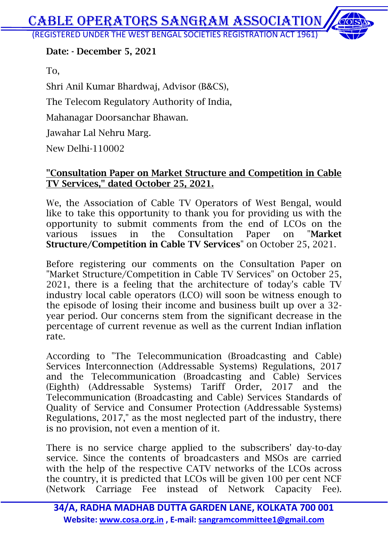(REGISTERED UNDER THE WEST BENGAL SOCIETIES REGISTRATION ACT 1961)

#### **Date: - December 5, 2021**

To,

Shri Anil Kumar Bhardwaj, Advisor (B&CS), The Telecom Regulatory Authority of India, Mahanagar Doorsanchar Bhawan. Jawahar Lal Nehru Marg. New Delhi-110002

#### **"Consultation Paper on Market Structure and Competition in Cable TV Services," dated October 25, 2021.**

We, the Association of Cable TV Operators of West Bengal, would like to take this opportunity to thank you for providing us with the opportunity to submit comments from the end of LCOs on the various issues in the Consultation Paper on "**Market Structure/Competition in Cable TV Services**" on October 25, 2021.

Before registering our comments on the Consultation Paper on "Market Structure/Competition in Cable TV Services" on October 25, 2021, there is a feeling that the architecture of today's cable TV industry local cable operators (LCO) will soon be witness enough to the episode of losing their income and business built up over a 32 year period. Our concerns stem from the significant decrease in the percentage of current revenue as well as the current Indian inflation rate.

According to "The Telecommunication (Broadcasting and Cable) Services Interconnection (Addressable Systems) Regulations, 2017 and the Telecommunication (Broadcasting and Cable) Services (Eighth) (Addressable Systems) Tariff Order, 2017 and the Telecommunication (Broadcasting and Cable) Services Standards of Quality of Service and Consumer Protection (Addressable Systems) Regulations, 2017," as the most neglected part of the industry, there is no provision, not even a mention of it.

There is no service charge applied to the subscribers' day-to-day service. Since the contents of broadcasters and MSOs are carried with the help of the respective CATV networks of the LCOs across the country, it is predicted that LCOs will be given 100 per cent NCF (Network Carriage Fee instead of Network Capacity Fee).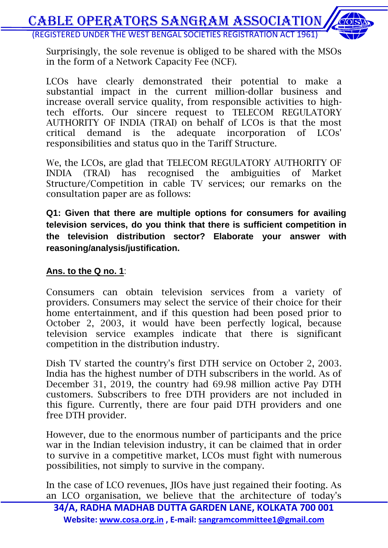

Surprisingly, the sole revenue is obliged to be shared with the MSOs in the form of a Network Capacity Fee (NCF).

LCOs have clearly demonstrated their potential to make a substantial impact in the current million-dollar business and increase overall service quality, from responsible activities to hightech efforts. Our sincere request to TELECOM REGULATORY AUTHORITY OF INDIA (TRAI) on behalf of LCOs is that the most critical demand is the adequate incorporation of LCOs' responsibilities and status quo in the Tariff Structure.

We, the LCOs, are glad that TELECOM REGULATORY AUTHORITY OF INDIA (TRAI) has recognised the ambiguities of Market Structure/Competition in cable TV services; our remarks on the consultation paper are as follows:

**Q1: Given that there are multiple options for consumers for availing television services, do you think that there is sufficient competition in the television distribution sector? Elaborate your answer with reasoning/analysis/justification.**

#### **Ans. to the Q no. 1**:

Consumers can obtain television services from a variety of providers. Consumers may select the service of their choice for their home entertainment, and if this question had been posed prior to October 2, 2003, it would have been perfectly logical, because television service examples indicate that there is significant competition in the distribution industry.

Dish TV started the country's first DTH service on October 2, 2003. India has the highest number of DTH subscribers in the world. As of December 31, 2019, the country had 69.98 million active Pay DTH customers. Subscribers to free DTH providers are not included in this figure. Currently, there are four paid DTH providers and one free DTH provider.

However, due to the enormous number of participants and the price war in the Indian television industry, it can be claimed that in order to survive in a competitive market, LCOs must fight with numerous possibilities, not simply to survive in the company.

In the case of LCO revenues, JIOs have just regained their footing. As an LCO organisation, we believe that the architecture of today's

**34/A, RADHA MADHAB DUTTA GARDEN LANE, KOLKATA 700 001 Website: www.cosa.org.in , E-mail: sangramcommittee1@gmail.com**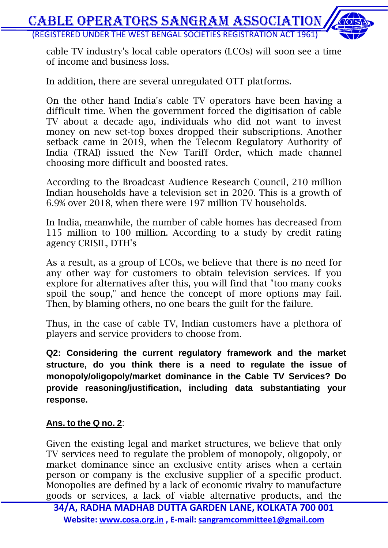cable TV industry's local cable operators (LCOs) will soon see a time of income and business loss.

In addition, there are several unregulated OTT platforms.

On the other hand India's cable TV operators have been having a difficult time. When the government forced the digitisation of cable TV about a decade ago, individuals who did not want to invest money on new set-top boxes dropped their subscriptions. Another setback came in 2019, when the Telecom Regulatory Authority of India (TRAI) issued the New Tariff Order, which made channel choosing more difficult and boosted rates.

According to the Broadcast Audience Research Council, 210 million Indian households have a television set in 2020. This is a growth of 6.9% over 2018, when there were 197 million TV households.

In India, meanwhile, the number of cable homes has decreased from 115 million to 100 million. According to a study by credit rating agency CRISIL, DTH's

As a result, as a group of LCOs, we believe that there is no need for any other way for customers to obtain television services. If you explore for alternatives after this, you will find that "too many cooks spoil the soup," and hence the concept of more options may fail. Then, by blaming others, no one bears the guilt for the failure.

Thus, in the case of cable TV, Indian customers have a plethora of players and service providers to choose from.

**Q2: Considering the current regulatory framework and the market structure, do you think there is a need to regulate the issue of monopoly/oligopoly/market dominance in the Cable TV Services? Do provide reasoning/justification, including data substantiating your response.**

#### **Ans. to the Q no. 2**:

Given the existing legal and market structures, we believe that only TV services need to regulate the problem of monopoly, oligopoly, or market dominance since an exclusive entity arises when a certain person or company is the exclusive supplier of a specific product. Monopolies are defined by a lack of economic rivalry to manufacture goods or services, a lack of viable alternative products, and the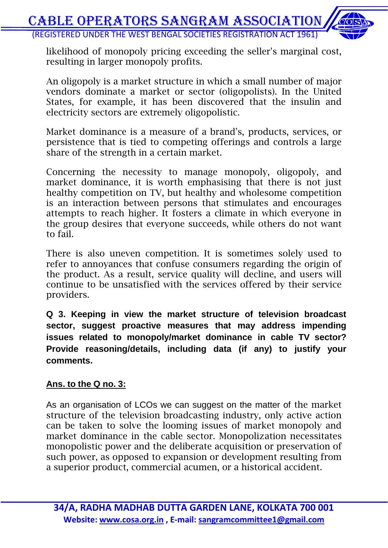likelihood of monopoly pricing exceeding the seller's marginal cost, resulting in larger monopoly profits.

An oligopoly is a market structure in which a small number of major vendors dominate a market or sector (oligopolists). In the United States, for example, it has been discovered that the insulin and electricity sectors are extremely oligopolistic.

Market dominance is a measure of a brand's, products, services, or persistence that is tied to competing offerings and controls a large share of the strength in a certain market.

Concerning the necessity to manage monopoly, oligopoly, and market dominance, it is worth emphasising that there is not just healthy competition on TV, but healthy and wholesome competition is an interaction between persons that stimulates and encourages attempts to reach higher. It fosters a climate in which everyone in the group desires that everyone succeeds, while others do not want to fail.

There is also uneven competition. It is sometimes solely used to refer to annoyances that confuse consumers regarding the origin of the product. As a result, service quality will decline, and users will continue to be unsatisfied with the services offered by their service providers.

**Q 3. Keeping in view the market structure of television broadcast sector, suggest proactive measures that may address impending issues related to monopoly/market dominance in cable TV sector? Provide reasoning/details, including data (if any) to justify your comments.**

#### **Ans. to the Q no. 3:**

As an organisation of LCOs we can suggest on the matter of the market structure of the television broadcasting industry, only active action can be taken to solve the looming issues of market monopoly and market dominance in the cable sector. Monopolization necessitates monopolistic power and the deliberate acquisition or preservation of such power, as opposed to expansion or development resulting from a superior product, commercial acumen, or a historical accident.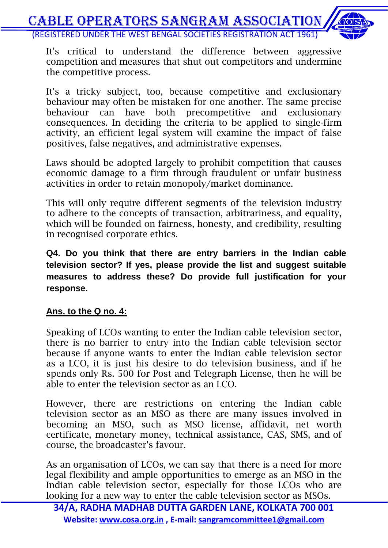It's critical to understand the difference between aggressive competition and measures that shut out competitors and undermine the competitive process.

It's a tricky subject, too, because competitive and exclusionary behaviour may often be mistaken for one another. The same precise behaviour can have both precompetitive and exclusionary consequences. In deciding the criteria to be applied to single-firm activity, an efficient legal system will examine the impact of false positives, false negatives, and administrative expenses.

Laws should be adopted largely to prohibit competition that causes economic damage to a firm through fraudulent or unfair business activities in order to retain monopoly/market dominance.

This will only require different segments of the television industry to adhere to the concepts of transaction, arbitrariness, and equality, which will be founded on fairness, honesty, and credibility, resulting in recognised corporate ethics.

**Q4. Do you think that there are entry barriers in the Indian cable television sector? If yes, please provide the list and suggest suitable measures to address these? Do provide full justification for your response.**

#### **Ans. to the Q no. 4:**

Speaking of LCOs wanting to enter the Indian cable television sector, there is no barrier to entry into the Indian cable television sector because if anyone wants to enter the Indian cable television sector as a LCO, it is just his desire to do television business, and if he spends only Rs. 500 for Post and Telegraph License, then he will be able to enter the television sector as an LCO.

However, there are restrictions on entering the Indian cable television sector as an MSO as there are many issues involved in becoming an MSO, such as MSO license, affidavit, net worth certificate, monetary money, technical assistance, CAS, SMS, and of course, the broadcaster's favour.

As an organisation of LCOs, we can say that there is a need for more legal flexibility and ample opportunities to emerge as an MSO in the Indian cable television sector, especially for those LCOs who are looking for a new way to enter the cable television sector as MSOs.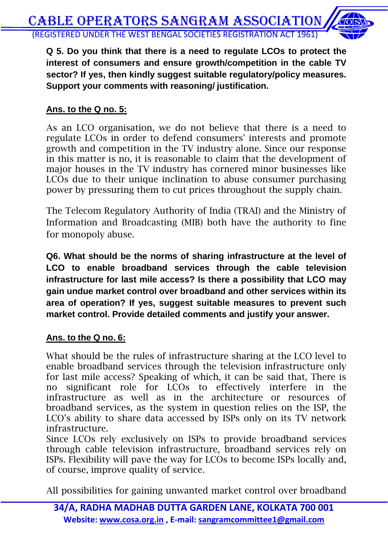**Q 5. Do you think that there is a need to regulate LCOs to protect the interest of consumers and ensure growth/competition in the cable TV sector? If yes, then kindly suggest suitable regulatory/policy measures. Support your comments with reasoning/ justification.**

#### **Ans. to the Q no. 5:**

As an LCO organisation, we do not believe that there is a need to regulate LCOs in order to defend consumers' interests and promote growth and competition in the TV industry alone. Since our response in this matter is no, it is reasonable to claim that the development of major houses in the TV industry has cornered minor businesses like LCOs due to their unique inclination to abuse consumer purchasing power by pressuring them to cut prices throughout the supply chain.

The Telecom Regulatory Authority of India (TRAI) and the Ministry of Information and Broadcasting (MIB) both have the authority to fine for monopoly abuse.

**Q6. What should be the norms of sharing infrastructure at the level of LCO to enable broadband services through the cable television infrastructure for last mile access? Is there a possibility that LCO may gain undue market control over broadband and other services within its area of operation? If yes, suggest suitable measures to prevent such market control. Provide detailed comments and justify your answer.**

#### **Ans. to the Q no. 6:**

What should be the rules of infrastructure sharing at the LCO level to enable broadband services through the television infrastructure only for last mile access? Speaking of which, it can be said that, There is no significant role for LCOs to effectively interfere in the infrastructure as well as in the architecture or resources of broadband services, as the system in question relies on the ISP, the LCO's ability to share data accessed by ISPs only on its TV network infrastructure.

Since LCOs rely exclusively on ISPs to provide broadband services through cable television infrastructure, broadband services rely on ISPs. Flexibility will pave the way for LCOs to become ISPs locally and, of course, improve quality of service.

All possibilities for gaining unwanted market control over broadband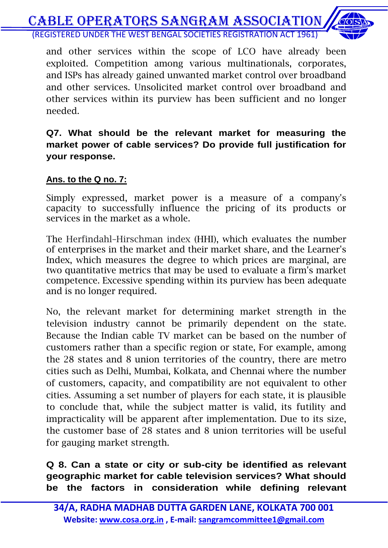

and other services within the scope of LCO have already been exploited. Competition among various multinationals, corporates, and ISPs has already gained unwanted market control over broadband and other services. Unsolicited market control over broadband and other services within its purview has been sufficient and no longer needed.

#### **Q7. What should be the relevant market for measuring the market power of cable services? Do provide full justification for your response.**

#### **Ans. to the Q no. 7:**

Simply expressed, market power is a measure of a company's capacity to successfully influence the pricing of its products or services in the market as a whole.

The Herfindahl–Hirschman index (HHI), which evaluates the number of enterprises in the market and their market share, and the Learner's Index, which measures the degree to which prices are marginal, are two quantitative metrics that may be used to evaluate a firm's market competence. Excessive spending within its purview has been adequate and is no longer required.

No, the relevant market for determining market strength in the television industry cannot be primarily dependent on the state. Because the Indian cable TV market can be based on the number of customers rather than a specific region or state, For example, among the 28 states and 8 union territories of the country, there are metro cities such as Delhi, Mumbai, Kolkata, and Chennai where the number of customers, capacity, and compatibility are not equivalent to other cities. Assuming a set number of players for each state, it is plausible to conclude that, while the subject matter is valid, its futility and impracticality will be apparent after implementation. Due to its size, the customer base of 28 states and 8 union territories will be useful for gauging market strength.

**Q 8. Can a state or city or sub-city be identified as relevant geographic market for cable television services? What should be the factors in consideration while defining relevant**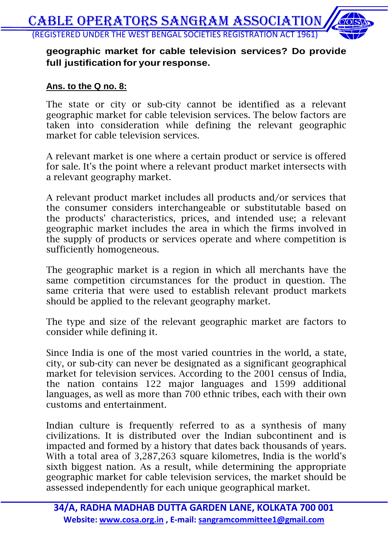#### **geographic market for cable television services? Do provide full justification for your response.**

#### **Ans. to the Q no. 8:**

The state or city or sub-city cannot be identified as a relevant geographic market for cable television services. The below factors are taken into consideration while defining the relevant geographic market for cable television services.

A relevant market is one where a certain product or service is offered for sale. It's the point where a relevant product market intersects with a relevant geography market.

A relevant product market includes all products and/or services that the consumer considers interchangeable or substitutable based on the products' characteristics, prices, and intended use; a relevant geographic market includes the area in which the firms involved in the supply of products or services operate and where competition is sufficiently homogeneous.

The geographic market is a region in which all merchants have the same competition circumstances for the product in question. The same criteria that were used to establish relevant product markets should be applied to the relevant geography market.

The type and size of the relevant geographic market are factors to consider while defining it.

Since India is one of the most varied countries in the world, a state, city, or sub-city can never be designated as a significant geographical market for television services. According to the 2001 census of India, the nation contains 122 major languages and 1599 additional languages, as well as more than 700 ethnic tribes, each with their own customs and entertainment.

Indian culture is frequently referred to as a synthesis of many civilizations. It is distributed over the Indian subcontinent and is impacted and formed by a history that dates back thousands of years. With a total area of 3,287,263 square kilometres, India is the world's sixth biggest nation. As a result, while determining the appropriate geographic market for cable television services, the market should be assessed independently for each unique geographical market.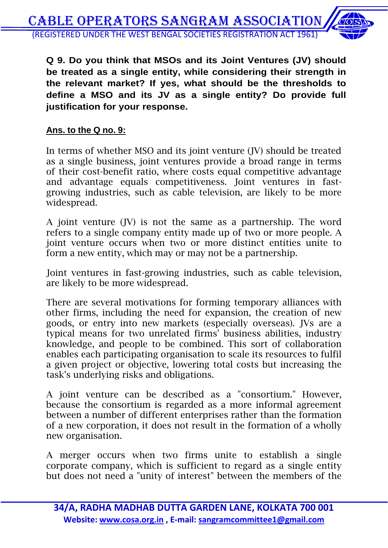

**Q 9. Do you think that MSOs and its Joint Ventures (JV) should be treated as a single entity, while considering their strength in the relevant market? If yes, what should be the thresholds to define a MSO and its JV as a single entity? Do provide full justification for your response.**

#### **Ans. to the Q no. 9:**

In terms of whether MSO and its joint venture (JV) should be treated as a single business, joint ventures provide a broad range in terms of their cost-benefit ratio, where costs equal competitive advantage and advantage equals competitiveness. Joint ventures in fastgrowing industries, such as cable television, are likely to be more widespread.

A joint venture (JV) is not the same as a partnership. The word refers to a single company entity made up of two or more people. A joint venture occurs when two or more distinct entities unite to form a new entity, which may or may not be a partnership.

Joint ventures in fast-growing industries, such as cable television, are likely to be more widespread.

There are several motivations for forming temporary alliances with other firms, including the need for expansion, the creation of new goods, or entry into new markets (especially overseas). JVs are a typical means for two unrelated firms' business abilities, industry knowledge, and people to be combined. This sort of collaboration enables each participating organisation to scale its resources to fulfil a given project or objective, lowering total costs but increasing the task's underlying risks and obligations.

A joint venture can be described as a "consortium." However, because the consortium is regarded as a more informal agreement between a number of different enterprises rather than the formation of a new corporation, it does not result in the formation of a wholly new organisation.

A merger occurs when two firms unite to establish a single corporate company, which is sufficient to regard as a single entity but does not need a "unity of interest" between the members of the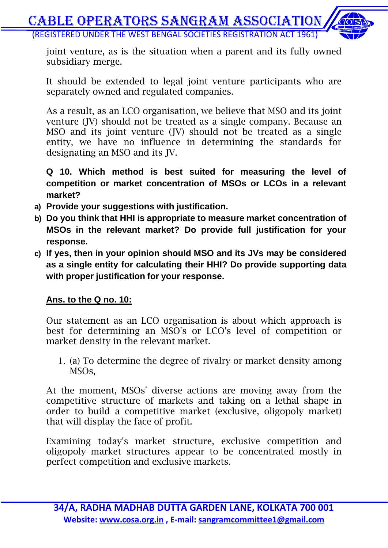joint venture, as is the situation when a parent and its fully owned subsidiary merge.

It should be extended to legal joint venture participants who are separately owned and regulated companies.

As a result, as an LCO organisation, we believe that MSO and its joint venture (JV) should not be treated as a single company. Because an MSO and its joint venture (JV) should not be treated as a single entity, we have no influence in determining the standards for designating an MSO and its JV.

**Q 10. Which method is best suited for measuring the level of competition or market concentration of MSOs or LCOs in a relevant market?**

- **a) Provide your suggestions with justification.**
- **b) Do you think that HHI is appropriate to measure market concentration of MSOs in the relevant market? Do provide full justification for your response.**
- **c) If yes, then in your opinion should MSO and its JVs may be considered as a single entity for calculating their HHI? Do provide supporting data with proper justification for your response.**

#### **Ans. to the Q no. 10:**

Our statement as an LCO organisation is about which approach is best for determining an MSO's or LCO's level of competition or market density in the relevant market.

1. (a) To determine the degree of rivalry or market density among MSOs,

At the moment, MSOs' diverse actions are moving away from the competitive structure of markets and taking on a lethal shape in order to build a competitive market (exclusive, oligopoly market) that will display the face of profit.

Examining today's market structure, exclusive competition and oligopoly market structures appear to be concentrated mostly in perfect competition and exclusive markets.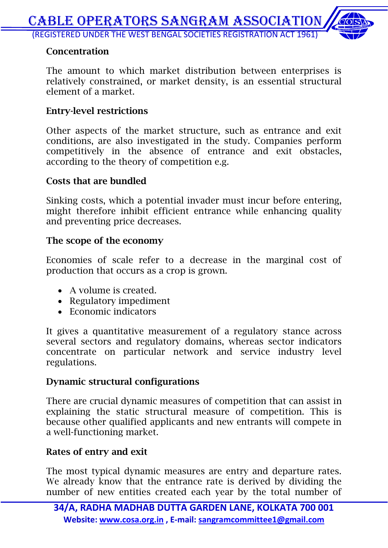#### **Concentration**

The amount to which market distribution between enterprises is relatively constrained, or market density, is an essential structural element of a market.

#### **Entry-level restrictions**

Other aspects of the market structure, such as entrance and exit conditions, are also investigated in the study. Companies perform competitively in the absence of entrance and exit obstacles, according to the theory of competition e.g.

#### **Costs that are bundled**

Sinking costs, which a potential invader must incur before entering, might therefore inhibit efficient entrance while enhancing quality and preventing price decreases.

#### **The scope of the economy**

Economies of scale refer to a decrease in the marginal cost of production that occurs as a crop is grown.

- A volume is created.
- Regulatory impediment
- Economic indicators

It gives a quantitative measurement of a regulatory stance across several sectors and regulatory domains, whereas sector indicators concentrate on particular network and service industry level regulations.

#### **Dynamic structural configurations**

There are crucial dynamic measures of competition that can assist in explaining the static structural measure of competition. This is because other qualified applicants and new entrants will compete in a well-functioning market.

#### **Rates of entry and exit**

The most typical dynamic measures are entry and departure rates. We already know that the entrance rate is derived by dividing the number of new entities created each year by the total number of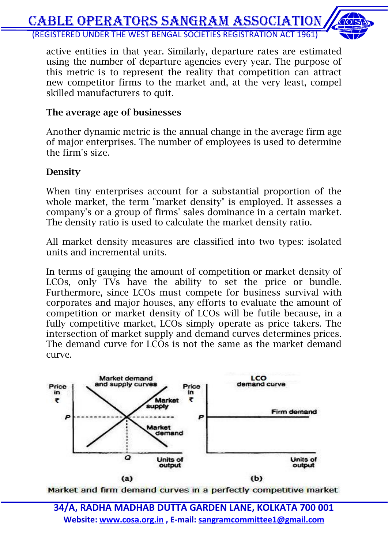

active entities in that year. Similarly, departure rates are estimated using the number of departure agencies every year. The purpose of this metric is to represent the reality that competition can attract new competitor firms to the market and, at the very least, compel skilled manufacturers to quit.

#### **The average age of businesses**

Another dynamic metric is the annual change in the average firm age of major enterprises. The number of employees is used to determine the firm's size.

#### **Density**

When tiny enterprises account for a substantial proportion of the whole market, the term "market density" is employed. It assesses a company's or a group of firms' sales dominance in a certain market. The density ratio is used to calculate the market density ratio.

All market density measures are classified into two types: isolated units and incremental units.

In terms of gauging the amount of competition or market density of LCOs, only TVs have the ability to set the price or bundle. Furthermore, since LCOs must compete for business survival with corporates and major houses, any efforts to evaluate the amount of competition or market density of LCOs will be futile because, in a fully competitive market, LCOs simply operate as price takers. The intersection of market supply and demand curves determines prices. The demand curve for LCOs is not the same as the market demand curve.



Market and firm demand curves in a perfectly competitive market

**34/A, RADHA MADHAB DUTTA GARDEN LANE, KOLKATA 700 001 Website: www.cosa.org.in , E-mail: sangramcommittee1@gmail.com**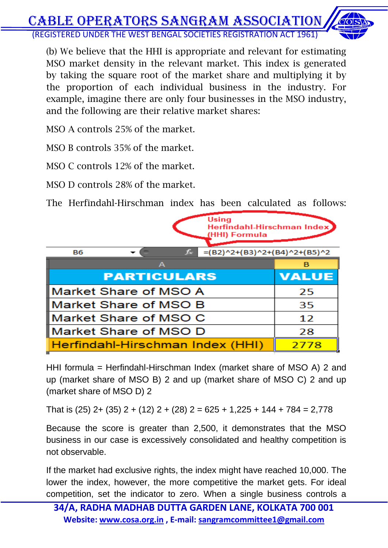

(b) We believe that the HHI is appropriate and relevant for estimating MSO market density in the relevant market. This index is generated by taking the square root of the market share and multiplying it by the proportion of each individual business in the industry. For example, imagine there are only four businesses in the MSO industry, and the following are their relative market shares:

MSO A controls 25% of the market.

MSO B controls 35% of the market.

MSO C controls 12% of the market.

MSO D controls 28% of the market.

The Herfindahl-Hirschman index has been calculated as follows:

| <b>Using</b><br>Herfindahl-Hirschman Index<br>(HHI) Formula |                                                 |  |  |              |
|-------------------------------------------------------------|-------------------------------------------------|--|--|--------------|
| <b>B6</b>                                                   | $=(B2)^2+(B3)^2+(B4)^2+(B5)^2$<br>$f_{\rm{sc}}$ |  |  |              |
|                                                             | A                                               |  |  | в            |
| <b>PARTICULARS</b>                                          |                                                 |  |  | <b>VALUE</b> |
| Market Share of MSO A                                       |                                                 |  |  | 25           |
| Market Share of MSO B                                       |                                                 |  |  | 35           |
| Market Share of MSO C                                       |                                                 |  |  | 12           |
| Market Share of MSO D                                       |                                                 |  |  | 28           |
| Herfindahl-Hirschman Index (HHI)                            |                                                 |  |  | 2778         |

HHI formula = Herfindahl-Hirschman Index (market share of MSO A) 2 and up (market share of MSO B) 2 and up (market share of MSO C) 2 and up (market share of MSO D) 2

That is (25) 2+ (35) 2 + (12) 2 + (28) 2 = 625 + 1,225 + 144 + 784 = 2,778

Because the score is greater than 2,500, it demonstrates that the MSO business in our case is excessively consolidated and healthy competition is not observable.

If the market had exclusive rights, the index might have reached 10,000. The lower the index, however, the more competitive the market gets. For ideal competition, set the indicator to zero. When a single business controls a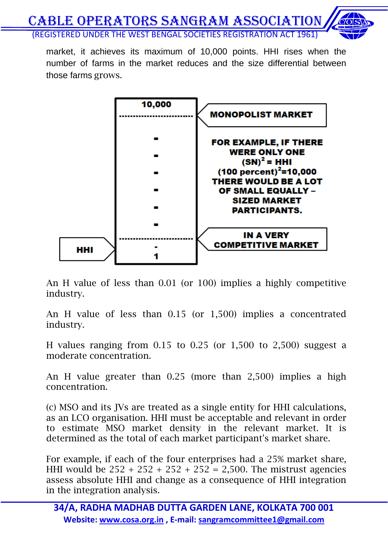market, it achieves its maximum of 10,000 points. HHI rises when the number of farms in the market reduces and the size differential between those farms grows.



An H value of less than 0.01 (or 100) implies a highly competitive industry.

An H value of less than 0.15 (or 1,500) implies a concentrated industry.

H values ranging from 0.15 to 0.25 (or 1,500 to 2,500) suggest a moderate concentration.

An H value greater than 0.25 (more than 2,500) implies a high concentration.

(c) MSO and its JVs are treated as a single entity for HHI calculations, as an LCO organisation. HHI must be acceptable and relevant in order to estimate MSO market density in the relevant market. It is determined as the total of each market participant's market share.

For example, if each of the four enterprises had a 25% market share, HHI would be  $252 + 252 + 252 + 252 = 2,500$ . The mistrust agencies assess absolute HHI and change as a consequence of HHI integration in the integration analysis.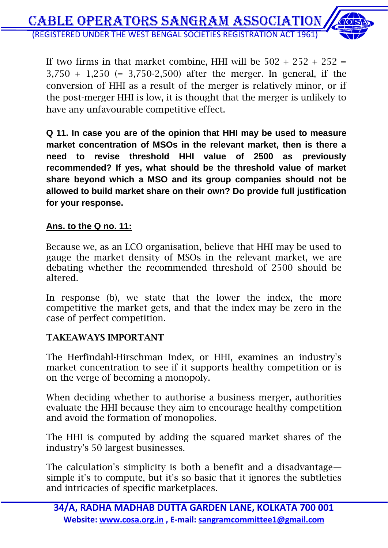If two firms in that market combine, HHI will be  $502 + 252 + 252 =$ 3,750 + 1,250 (= 3,750-2,500) after the merger. In general, if the conversion of HHI as a result of the merger is relatively minor, or if the post-merger HHI is low, it is thought that the merger is unlikely to have any unfavourable competitive effect.

**Q 11. In case you are of the opinion that HHI may be used to measure market concentration of MSOs in the relevant market, then is there a need to revise threshold HHI value of 2500 as previously recommended? If yes, what should be the threshold value of market share beyond which a MSO and its group companies should not be allowed to build market share on their own? Do provide full justification for your response.**

#### **Ans. to the Q no. 11:**

Because we, as an LCO organisation, believe that HHI may be used to gauge the market density of MSOs in the relevant market, we are debating whether the recommended threshold of 2500 should be altered.

In response (b), we state that the lower the index, the more competitive the market gets, and that the index may be zero in the case of perfect competition.

#### **TAKEAWAYS IMPORTANT**

The Herfindahl-Hirschman Index, or HHI, examines an industry's market concentration to see if it supports healthy competition or is on the verge of becoming a monopoly.

When deciding whether to authorise a business merger, authorities evaluate the HHI because they aim to encourage healthy competition and avoid the formation of monopolies.

The HHI is computed by adding the squared market shares of the industry's 50 largest businesses.

The calculation's simplicity is both a benefit and a disadvantage simple it's to compute, but it's so basic that it ignores the subtleties and intricacies of specific marketplaces.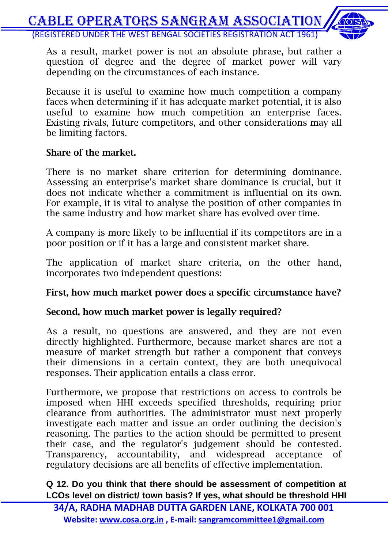As a result, market power is not an absolute phrase, but rather a question of degree and the degree of market power will vary depending on the circumstances of each instance.

Because it is useful to examine how much competition a company faces when determining if it has adequate market potential, it is also useful to examine how much competition an enterprise faces. Existing rivals, future competitors, and other considerations may all be limiting factors.

#### **Share of the market.**

There is no market share criterion for determining dominance. Assessing an enterprise's market share dominance is crucial, but it does not indicate whether a commitment is influential on its own. For example, it is vital to analyse the position of other companies in the same industry and how market share has evolved over time.

A company is more likely to be influential if its competitors are in a poor position or if it has a large and consistent market share.

The application of market share criteria, on the other hand, incorporates two independent questions:

#### **First, how much market power does a specific circumstance have?**

#### **Second, how much market power is legally required?**

As a result, no questions are answered, and they are not even directly highlighted. Furthermore, because market shares are not a measure of market strength but rather a component that conveys their dimensions in a certain context, they are both unequivocal responses. Their application entails a class error.

Furthermore, we propose that restrictions on access to controls be imposed when HHI exceeds specified thresholds, requiring prior clearance from authorities. The administrator must next properly investigate each matter and issue an order outlining the decision's reasoning. The parties to the action should be permitted to present their case, and the regulator's judgement should be contested. Transparency, accountability, and widespread acceptance of regulatory decisions are all benefits of effective implementation.

**Q 12. Do you think that there should be assessment of competition at LCOs level on district/ town basis? If yes, what should be threshold HHI**

**34/A, RADHA MADHAB DUTTA GARDEN LANE, KOLKATA 700 001 Website: www.cosa.org.in , E-mail: sangramcommittee1@gmail.com**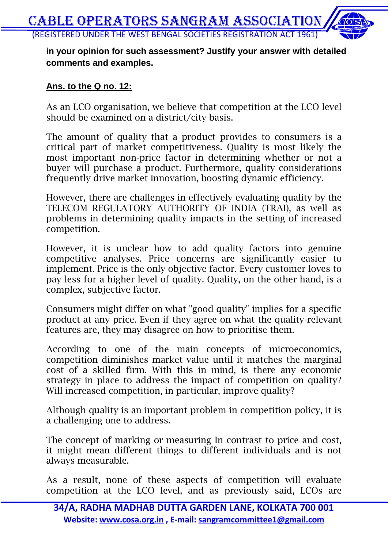#### **in your opinion for such assessment? Justify your answer with detailed comments and examples.**

#### **Ans. to the Q no. 12:**

As an LCO organisation, we believe that competition at the LCO level should be examined on a district/city basis.

The amount of quality that a product provides to consumers is a critical part of market competitiveness. Quality is most likely the most important non-price factor in determining whether or not a buyer will purchase a product. Furthermore, quality considerations frequently drive market innovation, boosting dynamic efficiency.

However, there are challenges in effectively evaluating quality by the TELECOM REGULATORY AUTHORITY OF INDIA (TRAI), as well as problems in determining quality impacts in the setting of increased competition.

However, it is unclear how to add quality factors into genuine competitive analyses. Price concerns are significantly easier to implement. Price is the only objective factor. Every customer loves to pay less for a higher level of quality. Quality, on the other hand, is a complex, subjective factor.

Consumers might differ on what "good quality" implies for a specific product at any price. Even if they agree on what the quality-relevant features are, they may disagree on how to prioritise them.

According to one of the main concepts of microeconomics, competition diminishes market value until it matches the marginal cost of a skilled firm. With this in mind, is there any economic strategy in place to address the impact of competition on quality? Will increased competition, in particular, improve quality?

Although quality is an important problem in competition policy, it is a challenging one to address.

The concept of marking or measuring In contrast to price and cost, it might mean different things to different individuals and is not always measurable.

As a result, none of these aspects of competition will evaluate competition at the LCO level, and as previously said, LCOs are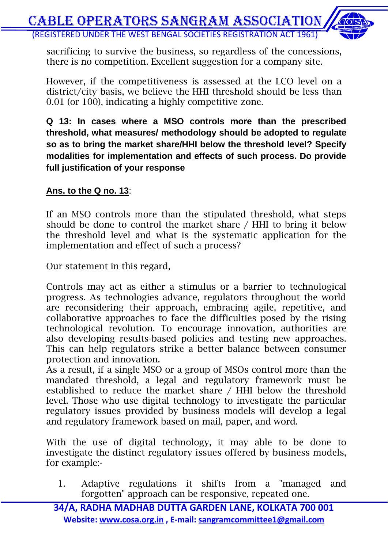

sacrificing to survive the business, so regardless of the concessions, there is no competition. Excellent suggestion for a company site.

However, if the competitiveness is assessed at the LCO level on a district/city basis, we believe the HHI threshold should be less than 0.01 (or 100), indicating a highly competitive zone.

**Q 13: In cases where a MSO controls more than the prescribed threshold, what measures/ methodology should be adopted to regulate so as to bring the market share/HHI below the threshold level? Specify modalities for implementation and effects of such process. Do provide full justification of your response**

#### **Ans. to the Q no. 13**:

If an MSO controls more than the stipulated threshold, what steps should be done to control the market share / HHI to bring it below the threshold level and what is the systematic application for the implementation and effect of such a process?

Our statement in this regard,

Controls may act as either a stimulus or a barrier to technological progress. As technologies advance, regulators throughout the world are reconsidering their approach, embracing agile, repetitive, and collaborative approaches to face the difficulties posed by the rising technological revolution. To encourage innovation, authorities are also developing results-based policies and testing new approaches. This can help regulators strike a better balance between consumer protection and innovation.

As a result, if a single MSO or a group of MSOs control more than the mandated threshold, a legal and regulatory framework must be established to reduce the market share / HHI below the threshold level. Those who use digital technology to investigate the particular regulatory issues provided by business models will develop a legal and regulatory framework based on mail, paper, and word.

With the use of digital technology, it may able to be done to investigate the distinct regulatory issues offered by business models, for example:-

1. Adaptive regulations it shifts from a "managed and forgotten" approach can be responsive, repeated one.

**34/A, RADHA MADHAB DUTTA GARDEN LANE, KOLKATA 700 001 Website: www.cosa.org.in , E-mail: sangramcommittee1@gmail.com**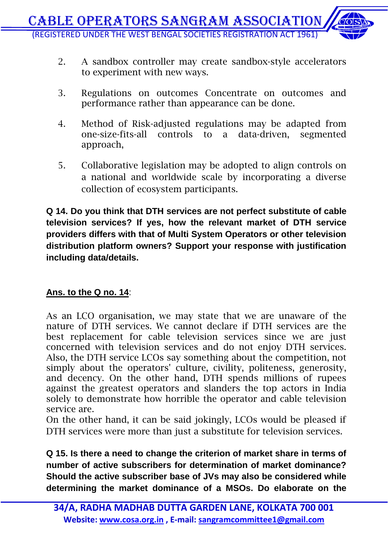- 2. A sandbox controller may create sandbox-style accelerators to experiment with new ways.
- 3. Regulations on outcomes Concentrate on outcomes and performance rather than appearance can be done.
- 4. Method of Risk-adjusted regulations may be adapted from one-size-fits-all controls to a data-driven, segmented approach,
- 5. Collaborative legislation may be adopted to align controls on a national and worldwide scale by incorporating a diverse collection of ecosystem participants.

**Q 14. Do you think that DTH services are not perfect substitute of cable television services? If yes, how the relevant market of DTH service providers differs with that of Multi System Operators or other television distribution platform owners? Support your response with justification including data/details.**

#### **Ans. to the Q no. 14**:

As an LCO organisation, we may state that we are unaware of the nature of DTH services. We cannot declare if DTH services are the best replacement for cable television services since we are just concerned with television services and do not enjoy DTH services. Also, the DTH service LCOs say something about the competition, not simply about the operators' culture, civility, politeness, generosity, and decency. On the other hand, DTH spends millions of rupees against the greatest operators and slanders the top actors in India solely to demonstrate how horrible the operator and cable television service are.

On the other hand, it can be said jokingly, LCOs would be pleased if DTH services were more than just a substitute for television services.

**Q 15. Is there a need to change the criterion of market share in terms of number of active subscribers for determination of market dominance? Should the active subscriber base of JVs may also be considered while determining the market dominance of a MSOs. Do elaborate on the**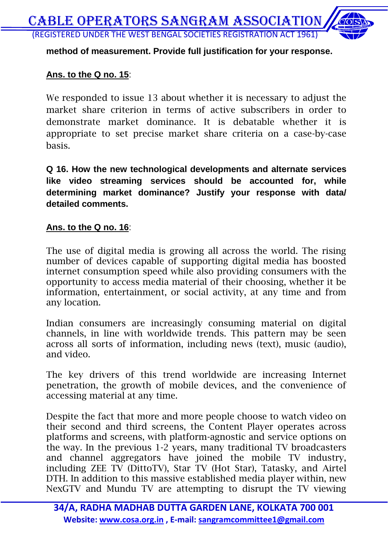#### **method of measurement. Provide full justification for your response.**

#### **Ans. to the Q no. 15**:

We responded to issue 13 about whether it is necessary to adjust the market share criterion in terms of active subscribers in order to demonstrate market dominance. It is debatable whether it is appropriate to set precise market share criteria on a case-by-case basis.

**Q 16. How the new technological developments and alternate services like video streaming services should be accounted for, while determining market dominance? Justify your response with data/ detailed comments.**

#### **Ans. to the Q no. 16**:

The use of digital media is growing all across the world. The rising number of devices capable of supporting digital media has boosted internet consumption speed while also providing consumers with the opportunity to access media material of their choosing, whether it be information, entertainment, or social activity, at any time and from any location.

Indian consumers are increasingly consuming material on digital channels, in line with worldwide trends. This pattern may be seen across all sorts of information, including news (text), music (audio), and video.

The key drivers of this trend worldwide are increasing Internet penetration, the growth of mobile devices, and the convenience of accessing material at any time.

Despite the fact that more and more people choose to watch video on their second and third screens, the Content Player operates across platforms and screens, with platform-agnostic and service options on the way. In the previous 1-2 years, many traditional TV broadcasters and channel aggregators have joined the mobile TV industry, including ZEE TV (DittoTV), Star TV (Hot Star), Tatasky, and Airtel DTH. In addition to this massive established media player within, new NexGTV and Mundu TV are attempting to disrupt the TV viewing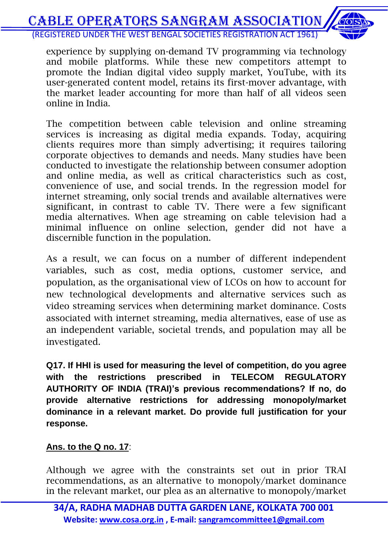experience by supplying on-demand TV programming via technology and mobile platforms. While these new competitors attempt to promote the Indian digital video supply market, YouTube, with its user-generated content model, retains its first-mover advantage, with the market leader accounting for more than half of all videos seen online in India.

The competition between cable television and online streaming services is increasing as digital media expands. Today, acquiring clients requires more than simply advertising; it requires tailoring corporate objectives to demands and needs. Many studies have been conducted to investigate the relationship between consumer adoption and online media, as well as critical characteristics such as cost, convenience of use, and social trends. In the regression model for internet streaming, only social trends and available alternatives were significant, in contrast to cable TV. There were a few significant media alternatives. When age streaming on cable television had a minimal influence on online selection, gender did not have a discernible function in the population.

As a result, we can focus on a number of different independent variables, such as cost, media options, customer service, and population, as the organisational view of LCOs on how to account for new technological developments and alternative services such as video streaming services when determining market dominance. Costs associated with internet streaming, media alternatives, ease of use as an independent variable, societal trends, and population may all be investigated.

**Q17. If HHI is used for measuring the level of competition, do you agree with the restrictions prescribed in TELECOM REGULATORY AUTHORITY OF INDIA (TRAI)'s previous recommendations? If no, do provide alternative restrictions for addressing monopoly/market dominance in a relevant market. Do provide full justification for your response.**

#### **Ans. to the Q no. 17**:

Although we agree with the constraints set out in prior TRAI recommendations, as an alternative to monopoly/market dominance in the relevant market, our plea as an alternative to monopoly/market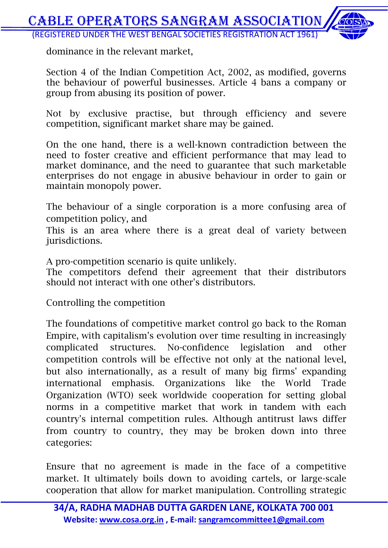dominance in the relevant market,

Section 4 of the Indian Competition Act, 2002, as modified, governs the behaviour of powerful businesses. Article 4 bans a company or group from abusing its position of power.

Not by exclusive practise, but through efficiency and severe competition, significant market share may be gained.

On the one hand, there is a well-known contradiction between the need to foster creative and efficient performance that may lead to market dominance, and the need to guarantee that such marketable enterprises do not engage in abusive behaviour in order to gain or maintain monopoly power.

The behaviour of a single corporation is a more confusing area of competition policy, and

This is an area where there is a great deal of variety between jurisdictions.

A pro-competition scenario is quite unlikely.

The competitors defend their agreement that their distributors should not interact with one other's distributors.

Controlling the competition

The foundations of competitive market control go back to the Roman Empire, with capitalism's evolution over time resulting in increasingly complicated structures. No-confidence legislation and other competition controls will be effective not only at the national level, but also internationally, as a result of many big firms' expanding international emphasis. Organizations like the World Trade Organization (WTO) seek worldwide cooperation for setting global norms in a competitive market that work in tandem with each country's internal competition rules. Although antitrust laws differ from country to country, they may be broken down into three categories:

Ensure that no agreement is made in the face of a competitive market. It ultimately boils down to avoiding cartels, or large-scale cooperation that allow for market manipulation. Controlling strategic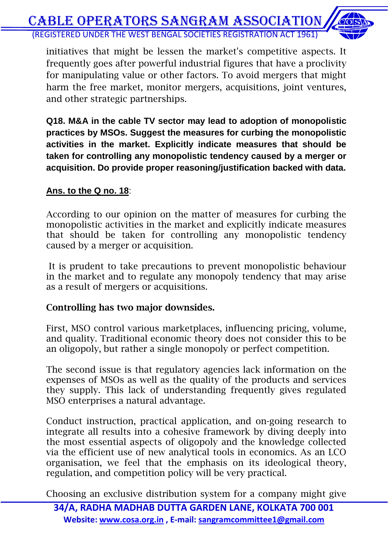initiatives that might be lessen the market's competitive aspects. It frequently goes after powerful industrial figures that have a proclivity for manipulating value or other factors. To avoid mergers that might harm the free market, monitor mergers, acquisitions, joint ventures, and other strategic partnerships.

**Q18. M&A in the cable TV sector may lead to adoption of monopolistic practices by MSOs. Suggest the measures for curbing the monopolistic activities in the market. Explicitly indicate measures that should be taken for controlling any monopolistic tendency caused by a merger or acquisition. Do provide proper reasoning/justification backed with data.**

#### **Ans. to the Q no. 18**:

According to our opinion on the matter of measures for curbing the monopolistic activities in the market and explicitly indicate measures that should be taken for controlling any monopolistic tendency caused by a merger or acquisition.

It is prudent to take precautions to prevent monopolistic behaviour in the market and to regulate any monopoly tendency that may arise as a result of mergers or acquisitions.

#### **Controlling has two major downsides.**

First, MSO control various marketplaces, influencing pricing, volume, and quality. Traditional economic theory does not consider this to be an oligopoly, but rather a single monopoly or perfect competition.

The second issue is that regulatory agencies lack information on the expenses of MSOs as well as the quality of the products and services they supply. This lack of understanding frequently gives regulated MSO enterprises a natural advantage.

Conduct instruction, practical application, and on-going research to integrate all results into a cohesive framework by diving deeply into the most essential aspects of oligopoly and the knowledge collected via the efficient use of new analytical tools in economics. As an LCO organisation, we feel that the emphasis on its ideological theory, regulation, and competition policy will be very practical.

Choosing an exclusive distribution system for a company might give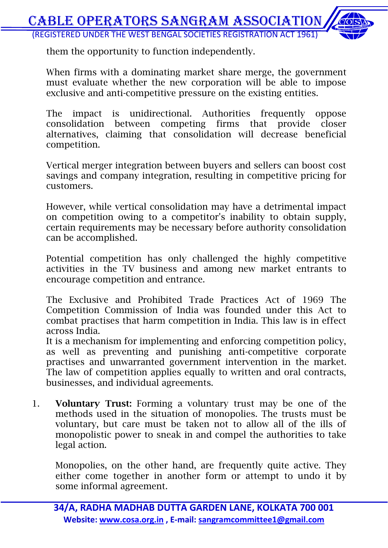them the opportunity to function independently.

When firms with a dominating market share merge, the government must evaluate whether the new corporation will be able to impose exclusive and anti-competitive pressure on the existing entities.

The impact is unidirectional. Authorities frequently oppose consolidation between competing firms that provide closer alternatives, claiming that consolidation will decrease beneficial competition.

Vertical merger integration between buyers and sellers can boost cost savings and company integration, resulting in competitive pricing for customers.

However, while vertical consolidation may have a detrimental impact on competition owing to a competitor's inability to obtain supply, certain requirements may be necessary before authority consolidation can be accomplished.

Potential competition has only challenged the highly competitive activities in the TV business and among new market entrants to encourage competition and entrance.

The Exclusive and Prohibited Trade Practices Act of 1969 The Competition Commission of India was founded under this Act to combat practises that harm competition in India. This law is in effect across India.

It is a mechanism for implementing and enforcing competition policy, as well as preventing and punishing anti-competitive corporate practises and unwarranted government intervention in the market. The law of competition applies equally to written and oral contracts, businesses, and individual agreements.

1. **Voluntary Trust:** Forming a voluntary trust may be one of the methods used in the situation of monopolies. The trusts must be voluntary, but care must be taken not to allow all of the ills of monopolistic power to sneak in and compel the authorities to take legal action.

Monopolies, on the other hand, are frequently quite active. They either come together in another form or attempt to undo it by some informal agreement.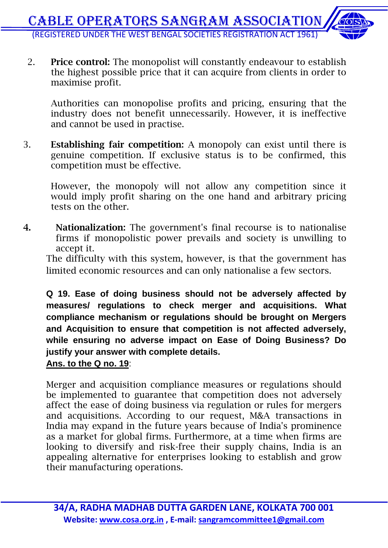2. **Price control:** The monopolist will constantly endeavour to establish the highest possible price that it can acquire from clients in order to maximise profit.

Authorities can monopolise profits and pricing, ensuring that the industry does not benefit unnecessarily. However, it is ineffective and cannot be used in practise.

3. **Establishing fair competition:** A monopoly can exist until there is genuine competition. If exclusive status is to be confirmed, this competition must be effective.

However, the monopoly will not allow any competition since it would imply profit sharing on the one hand and arbitrary pricing tests on the other.

**4. Nationalization:** The government's final recourse is to nationalise firms if monopolistic power prevails and society is unwilling to accept it.

The difficulty with this system, however, is that the government has limited economic resources and can only nationalise a few sectors.

**Q 19. Ease of doing business should not be adversely affected by measures/ regulations to check merger and acquisitions. What compliance mechanism or regulations should be brought on Mergers and Acquisition to ensure that competition is not affected adversely, while ensuring no adverse impact on Ease of Doing Business? Do justify your answer with complete details.**

#### **Ans. to the Q no. 19**:

Merger and acquisition compliance measures or regulations should be implemented to guarantee that competition does not adversely affect the ease of doing business via regulation or rules for mergers and acquisitions. According to our request, M&A transactions in India may expand in the future years because of India's prominence as a market for global firms. Furthermore, at a time when firms are looking to diversify and risk-free their supply chains, India is an appealing alternative for enterprises looking to establish and grow their manufacturing operations.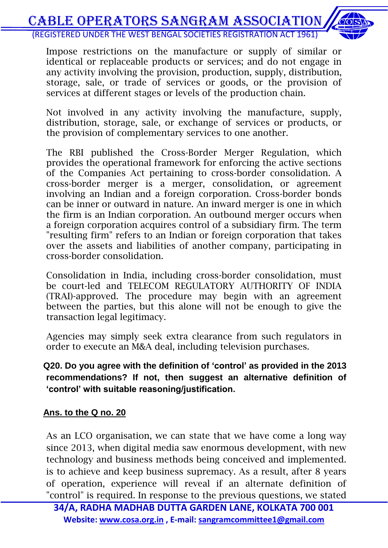Impose restrictions on the manufacture or supply of similar or identical or replaceable products or services; and do not engage in any activity involving the provision, production, supply, distribution, storage, sale, or trade of services or goods, or the provision of services at different stages or levels of the production chain.

Not involved in any activity involving the manufacture, supply, distribution, storage, sale, or exchange of services or products, or the provision of complementary services to one another.

The RBI published the Cross-Border Merger Regulation, which provides the operational framework for enforcing the active sections of the Companies Act pertaining to cross-border consolidation. A cross-border merger is a merger, consolidation, or agreement involving an Indian and a foreign corporation. Cross-border bonds can be inner or outward in nature. An inward merger is one in which the firm is an Indian corporation. An outbound merger occurs when a foreign corporation acquires control of a subsidiary firm. The term "resulting firm" refers to an Indian or foreign corporation that takes over the assets and liabilities of another company, participating in cross-border consolidation.

Consolidation in India, including cross-border consolidation, must be court-led and TELECOM REGULATORY AUTHORITY OF INDIA (TRAI)-approved. The procedure may begin with an agreement between the parties, but this alone will not be enough to give the transaction legal legitimacy.

Agencies may simply seek extra clearance from such regulators in order to execute an M&A deal, including television purchases.

#### **Q20. Do you agree with the definition of 'control' as provided in the 2013 recommendations? If not, then suggest an alternative definition of 'control' with suitable reasoning/justification.**

#### **Ans. to the Q no. 20**

As an LCO organisation, we can state that we have come a long way since 2013, when digital media saw enormous development, with new technology and business methods being conceived and implemented. is to achieve and keep business supremacy. As a result, after 8 years of operation, experience will reveal if an alternate definition of "control" is required. In response to the previous questions, we stated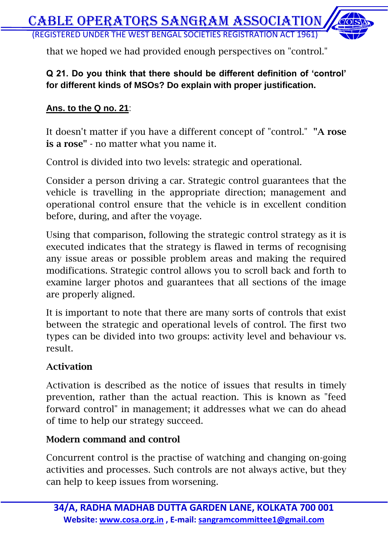that we hoped we had provided enough perspectives on "control."

#### **Q 21. Do you think that there should be different definition of 'control' for different kinds of MSOs? Do explain with proper justification.**

#### **Ans. to the Q no. 21**:

It doesn't matter if you have a different concept of "control." **"A rose is a rose"** - no matter what you name it.

Control is divided into two levels: strategic and operational.

Consider a person driving a car. Strategic control guarantees that the vehicle is travelling in the appropriate direction; management and operational control ensure that the vehicle is in excellent condition before, during, and after the voyage.

Using that comparison, following the strategic control strategy as it is executed indicates that the strategy is flawed in terms of recognising any issue areas or possible problem areas and making the required modifications. Strategic control allows you to scroll back and forth to examine larger photos and guarantees that all sections of the image are properly aligned.

It is important to note that there are many sorts of controls that exist between the strategic and operational levels of control. The first two types can be divided into two groups: activity level and behaviour vs. result.

#### **Activation**

Activation is described as the notice of issues that results in timely prevention, rather than the actual reaction. This is known as "feed forward control" in management; it addresses what we can do ahead of time to help our strategy succeed.

#### **Modern command and control**

Concurrent control is the practise of watching and changing on-going activities and processes. Such controls are not always active, but they can help to keep issues from worsening.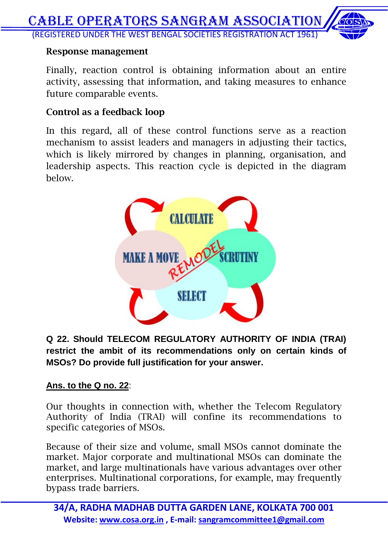#### **Response management**

Finally, reaction control is obtaining information about an entire activity, assessing that information, and taking measures to enhance future comparable events.

#### **Control as a feedback loop**

In this regard, all of these control functions serve as a reaction mechanism to assist leaders and managers in adjusting their tactics, which is likely mirrored by changes in planning, organisation, and leadership aspects. This reaction cycle is depicted in the diagram below.



**Q 22. Should TELECOM REGULATORY AUTHORITY OF INDIA (TRAI) restrict the ambit of its recommendations only on certain kinds of MSOs? Do provide full justification for your answer.**

#### **Ans. to the Q no. 22**:

Our thoughts in connection with, whether the Telecom Regulatory Authority of India (TRAI) will confine its recommendations to specific categories of MSOs.

Because of their size and volume, small MSOs cannot dominate the market. Major corporate and multinational MSOs can dominate the market, and large multinationals have various advantages over other enterprises. Multinational corporations, for example, may frequently bypass trade barriers.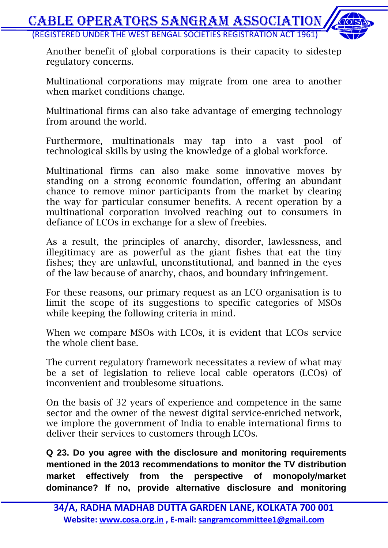

Another benefit of global corporations is their capacity to sidestep regulatory concerns.

Multinational corporations may migrate from one area to another when market conditions change.

Multinational firms can also take advantage of emerging technology from around the world.

Furthermore, multinationals may tap into a vast pool of technological skills by using the knowledge of a global workforce.

Multinational firms can also make some innovative moves by standing on a strong economic foundation, offering an abundant chance to remove minor participants from the market by clearing the way for particular consumer benefits. A recent operation by a multinational corporation involved reaching out to consumers in defiance of LCOs in exchange for a slew of freebies.

As a result, the principles of anarchy, disorder, lawlessness, and illegitimacy are as powerful as the giant fishes that eat the tiny fishes; they are unlawful, unconstitutional, and banned in the eyes of the law because of anarchy, chaos, and boundary infringement.

For these reasons, our primary request as an LCO organisation is to limit the scope of its suggestions to specific categories of MSOs while keeping the following criteria in mind.

When we compare MSOs with LCOs, it is evident that LCOs service the whole client base.

The current regulatory framework necessitates a review of what may be a set of legislation to relieve local cable operators (LCOs) of inconvenient and troublesome situations.

On the basis of 32 years of experience and competence in the same sector and the owner of the newest digital service-enriched network, we implore the government of India to enable international firms to deliver their services to customers through LCOs.

**Q 23. Do you agree with the disclosure and monitoring requirements mentioned in the 2013 recommendations to monitor the TV distribution market effectively from the perspective of monopoly/market dominance? If no, provide alternative disclosure and monitoring**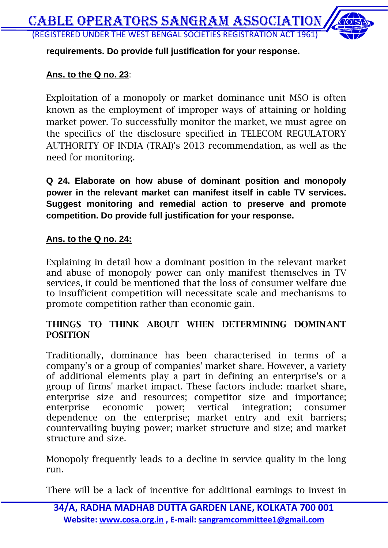**requirements. Do provide full justification for your response.**

#### **Ans. to the Q no. 23**:

Exploitation of a monopoly or market dominance unit MSO is often known as the employment of improper ways of attaining or holding market power. To successfully monitor the market, we must agree on the specifics of the disclosure specified in TELECOM REGULATORY AUTHORITY OF INDIA (TRAI)'s 2013 recommendation, as well as the need for monitoring.

**Q 24. Elaborate on how abuse of dominant position and monopoly power in the relevant market can manifest itself in cable TV services. Suggest monitoring and remedial action to preserve and promote competition. Do provide full justification for your response.**

#### **Ans. to the Q no. 24:**

Explaining in detail how a dominant position in the relevant market and abuse of monopoly power can only manifest themselves in TV services, it could be mentioned that the loss of consumer welfare due to insufficient competition will necessitate scale and mechanisms to promote competition rather than economic gain.

#### **THINGS TO THINK ABOUT WHEN DETERMINING DOMINANT POSITION**

Traditionally, dominance has been characterised in terms of a company's or a group of companies' market share. However, a variety of additional elements play a part in defining an enterprise's or a group of firms' market impact. These factors include: market share, enterprise size and resources; competitor size and importance; enterprise economic power; vertical integration; consumer dependence on the enterprise; market entry and exit barriers; countervailing buying power; market structure and size; and market structure and size.

Monopoly frequently leads to a decline in service quality in the long run.

There will be a lack of incentive for additional earnings to invest in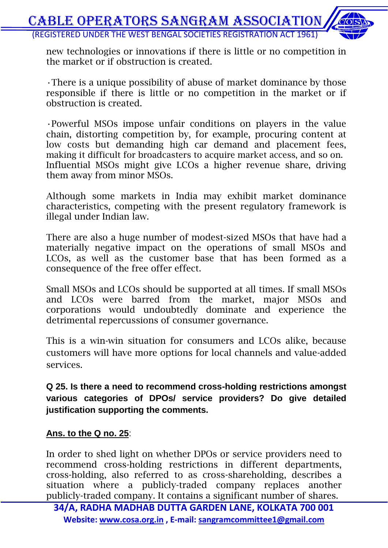

new technologies or innovations if there is little or no competition in the market or if obstruction is created.

•There is a unique possibility of abuse of market dominance by those responsible if there is little or no competition in the market or if obstruction is created.

•Powerful MSOs impose unfair conditions on players in the value chain, distorting competition by, for example, procuring content at low costs but demanding high car demand and placement fees, making it difficult for broadcasters to acquire market access, and so on. Influential MSOs might give LCOs a higher revenue share, driving them away from minor MSOs.

Although some markets in India may exhibit market dominance characteristics, competing with the present regulatory framework is illegal under Indian law.

There are also a huge number of modest-sized MSOs that have had a materially negative impact on the operations of small MSOs and LCOs, as well as the customer base that has been formed as a consequence of the free offer effect.

Small MSOs and LCOs should be supported at all times. If small MSOs and LCOs were barred from the market, major MSOs and corporations would undoubtedly dominate and experience the detrimental repercussions of consumer governance.

This is a win-win situation for consumers and LCOs alike, because customers will have more options for local channels and value-added services.

**Q 25. Is there a need to recommend cross-holding restrictions amongst various categories of DPOs/ service providers? Do give detailed justification supporting the comments.**

#### **Ans. to the Q no. 25**:

In order to shed light on whether DPOs or service providers need to recommend cross-holding restrictions in different departments, cross-holding, also referred to as cross-shareholding, describes a situation where a publicly-traded company replaces another publicly-traded company. It contains a significant number of shares.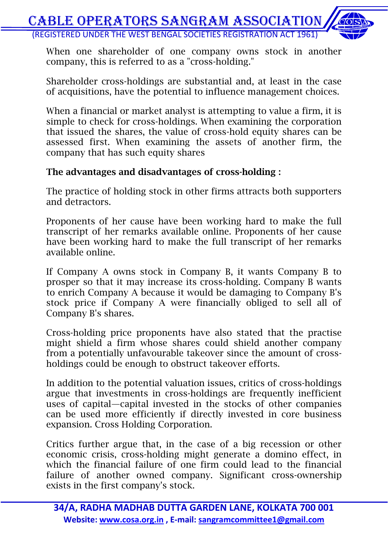

When one shareholder of one company owns stock in another company, this is referred to as a "cross-holding."

Shareholder cross-holdings are substantial and, at least in the case of acquisitions, have the potential to influence management choices.

When a financial or market analyst is attempting to value a firm, it is simple to check for cross-holdings. When examining the corporation that issued the shares, the value of cross-hold equity shares can be assessed first. When examining the assets of another firm, the company that has such equity shares

#### **The advantages and disadvantages of cross-holding :**

The practice of holding stock in other firms attracts both supporters and detractors.

Proponents of her cause have been working hard to make the full transcript of her remarks available online. Proponents of her cause have been working hard to make the full transcript of her remarks available online.

If Company A owns stock in Company B, it wants Company B to prosper so that it may increase its cross-holding. Company B wants to enrich Company A because it would be damaging to Company B's stock price if Company A were financially obliged to sell all of Company B's shares.

Cross-holding price proponents have also stated that the practise might shield a firm whose shares could shield another company from a potentially unfavourable takeover since the amount of crossholdings could be enough to obstruct takeover efforts.

In addition to the potential valuation issues, critics of cross-holdings argue that investments in cross-holdings are frequently inefficient uses of capital—capital invested in the stocks of other companies can be used more efficiently if directly invested in core business expansion. Cross Holding Corporation.

Critics further argue that, in the case of a big recession or other economic crisis, cross-holding might generate a domino effect, in which the financial failure of one firm could lead to the financial failure of another owned company. Significant cross-ownership exists in the first company's stock.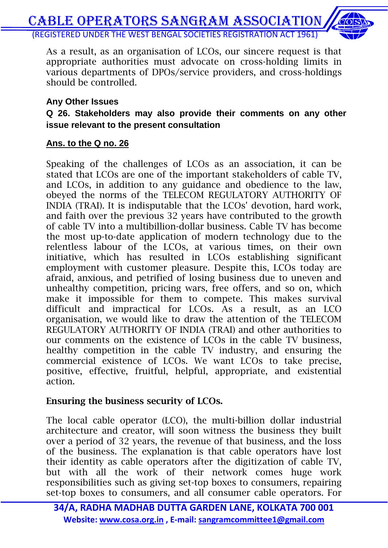As a result, as an organisation of LCOs, our sincere request is that appropriate authorities must advocate on cross-holding limits in various departments of DPOs/service providers, and cross-holdings should be controlled.

#### **Any Other Issues**

**Q 26. Stakeholders may also provide their comments on any other issue relevant to the present consultation**

#### **Ans. to the Q no. 26**

Speaking of the challenges of LCOs as an association, it can be stated that LCOs are one of the important stakeholders of cable TV, and LCOs, in addition to any guidance and obedience to the law, obeyed the norms of the TELECOM REGULATORY AUTHORITY OF INDIA (TRAI). It is indisputable that the LCOs' devotion, hard work, and faith over the previous 32 years have contributed to the growth of cable TV into a multibillion-dollar business. Cable TV has become the most up-to-date application of modern technology due to the relentless labour of the LCOs, at various times, on their own initiative, which has resulted in LCOs establishing significant employment with customer pleasure. Despite this, LCOs today are afraid, anxious, and petrified of losing business due to uneven and unhealthy competition, pricing wars, free offers, and so on, which make it impossible for them to compete. This makes survival difficult and impractical for LCOs. As a result, as an LCO organisation, we would like to draw the attention of the TELECOM REGULATORY AUTHORITY OF INDIA (TRAI) and other authorities to our comments on the existence of LCOs in the cable TV business, healthy competition in the cable TV industry, and ensuring the commercial existence of LCOs. We want LCOs to take precise, positive, effective, fruitful, helpful, appropriate, and existential action.

#### **Ensuring the business security of LCOs.**

The local cable operator (LCO), the multi-billion dollar industrial architecture and creator, will soon witness the business they built over a period of 32 years, the revenue of that business, and the loss of the business. The explanation is that cable operators have lost their identity as cable operators after the digitization of cable TV, but with all the work of their network comes huge work responsibilities such as giving set-top boxes to consumers, repairing set-top boxes to consumers, and all consumer cable operators. For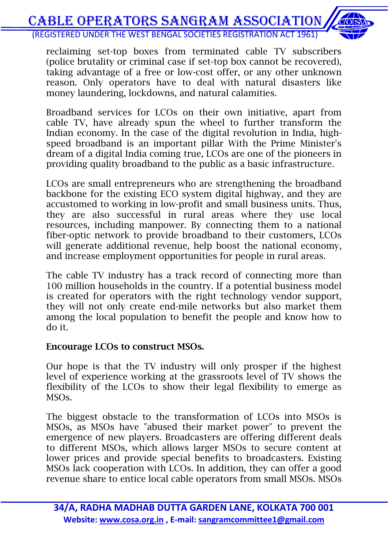reclaiming set-top boxes from terminated cable TV subscribers (police brutality or criminal case if set-top box cannot be recovered), taking advantage of a free or low-cost offer, or any other unknown reason. Only operators have to deal with natural disasters like money laundering, lockdowns, and natural calamities.

Broadband services for LCOs on their own initiative, apart from cable TV, have already spun the wheel to further transform the Indian economy. In the case of the digital revolution in India, highspeed broadband is an important pillar With the Prime Minister's dream of a digital India coming true, LCOs are one of the pioneers in providing quality broadband to the public as a basic infrastructure.

LCOs are small entrepreneurs who are strengthening the broadband backbone for the existing ECO system digital highway, and they are accustomed to working in low-profit and small business units. Thus, they are also successful in rural areas where they use local resources, including manpower. By connecting them to a national fiber-optic network to provide broadband to their customers, LCOs will generate additional revenue, help boost the national economy, and increase employment opportunities for people in rural areas.

The cable TV industry has a track record of connecting more than 100 million households in the country. If a potential business model is created for operators with the right technology vendor support, they will not only create end-mile networks but also market them among the local population to benefit the people and know how to do it.

#### **Encourage LCOs to construct MSOs.**

Our hope is that the TV industry will only prosper if the highest level of experience working at the grassroots level of TV shows the flexibility of the LCOs to show their legal flexibility to emerge as MSOs.

The biggest obstacle to the transformation of LCOs into MSOs is MSOs, as MSOs have "abused their market power" to prevent the emergence of new players. Broadcasters are offering different deals to different MSOs, which allows larger MSOs to secure content at lower prices and provide special benefits to broadcasters. Existing MSOs lack cooperation with LCOs. In addition, they can offer a good revenue share to entice local cable operators from small MSOs. MSOs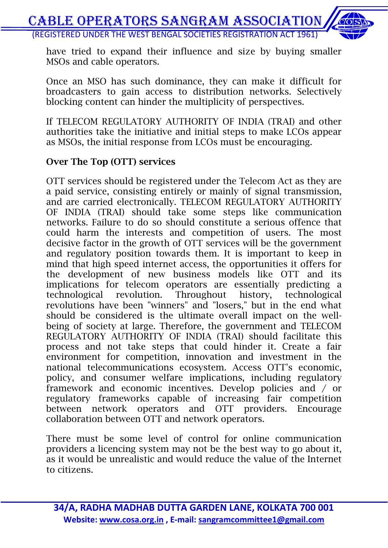have tried to expand their influence and size by buying smaller MSOs and cable operators.

Once an MSO has such dominance, they can make it difficult for broadcasters to gain access to distribution networks. Selectively blocking content can hinder the multiplicity of perspectives.

If TELECOM REGULATORY AUTHORITY OF INDIA (TRAI) and other authorities take the initiative and initial steps to make LCOs appear as MSOs, the initial response from LCOs must be encouraging.

#### **Over The Top (OTT) services**

OTT services should be registered under the Telecom Act as they are a paid service, consisting entirely or mainly of signal transmission, and are carried electronically. TELECOM REGULATORY AUTHORITY OF INDIA (TRAI) should take some steps like communication networks. Failure to do so should constitute a serious offence that could harm the interests and competition of users. The most decisive factor in the growth of OTT services will be the government and regulatory position towards them. It is important to keep in mind that high speed internet access, the opportunities it offers for the development of new business models like OTT and its implications for telecom operators are essentially predicting a technological revolution. Throughout history, technological revolutions have been "winners" and "losers," but in the end what should be considered is the ultimate overall impact on the wellbeing of society at large. Therefore, the government and TELECOM REGULATORY AUTHORITY OF INDIA (TRAI) should facilitate this process and not take steps that could hinder it. Create a fair environment for competition, innovation and investment in the national telecommunications ecosystem. Access OTT's economic, policy, and consumer welfare implications, including regulatory framework and economic incentives. Develop policies and / or regulatory frameworks capable of increasing fair competition between network operators and OTT providers. Encourage collaboration between OTT and network operators.

There must be some level of control for online communication providers a licencing system may not be the best way to go about it, as it would be unrealistic and would reduce the value of the Internet to citizens.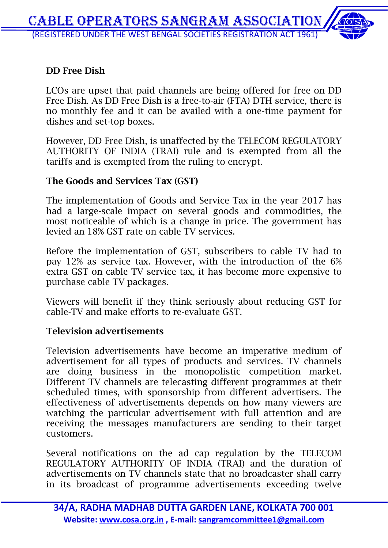#### **DD Free Dish**

LCOs are upset that paid channels are being offered for free on DD Free Dish. As DD Free Dish is a free-to-air (FTA) DTH service, there is no monthly fee and it can be availed with a one-time payment for dishes and set-top boxes.

However, DD Free Dish, is unaffected by the TELECOM REGULATORY AUTHORITY OF INDIA (TRAI) rule and is exempted from all the tariffs and is exempted from the ruling to encrypt.

#### **The Goods and Services Tax (GST)**

The implementation of Goods and Service Tax in the year 2017 has had a large-scale impact on several goods and commodities, the most noticeable of which is a change in price. The government has levied an 18% GST rate on cable TV services.

Before the implementation of GST, subscribers to cable TV had to pay 12% as service tax. However, with the introduction of the 6% extra GST on cable TV service tax, it has become more expensive to purchase cable TV packages.

Viewers will benefit if they think seriously about reducing GST for cable-TV and make efforts to re-evaluate GST.

#### **Television advertisements**

Television advertisements have become an imperative medium of advertisement for all types of products and services. TV channels are doing business in the monopolistic competition market. Different TV channels are telecasting different programmes at their scheduled times, with sponsorship from different advertisers. The effectiveness of advertisements depends on how many viewers are watching the particular advertisement with full attention and are receiving the messages manufacturers are sending to their target customers.

Several notifications on the ad cap regulation by the TELECOM REGULATORY AUTHORITY OF INDIA (TRAI) and the duration of advertisements on TV channels state that no broadcaster shall carry in its broadcast of programme advertisements exceeding twelve